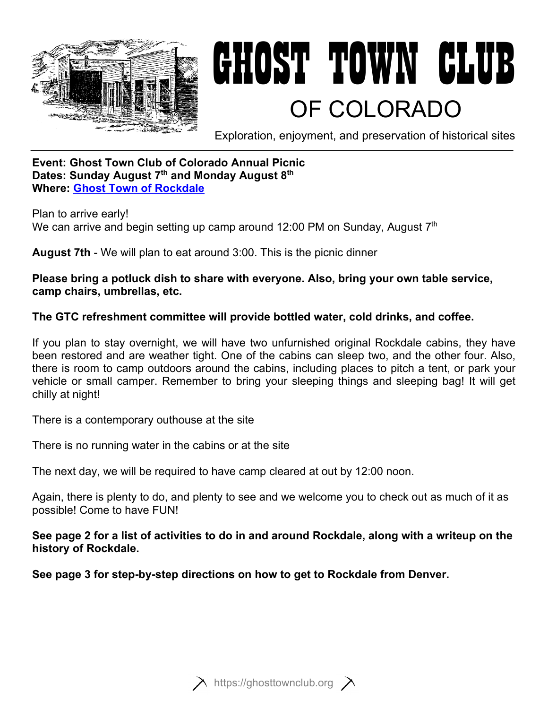

# GHOST TOWN CLUB<br>Of Colorado

Exploration, enjoyment, and preservation of historical sites

## **Event: Ghost Town Club of Colorado Annual Picnic Dates: Sunday August 7th and Monday August 8th Where: [Ghost Town of Rockdale](https://www.google.com/maps/place/Crescent+Mining+Camp/@38.9913255,-106.4114472,1107m/data=!3m1!1e3!4m5!3m4!1s0x876aa5a3709490f9:0x4341209fe7991f65!8m2!3d38.9912667!4d-106.411678)**

Plan to arrive early! We can arrive and begin setting up camp around 12:00 PM on Sunday, August  $7<sup>th</sup>$ 

**August 7th** - We will plan to eat around 3:00. This is the picnic dinner

**Please bring a potluck dish to share with everyone. Also, bring your own table service, camp chairs, umbrellas, etc.**

# **The GTC refreshment committee will provide bottled water, cold drinks, and coffee.**

If you plan to stay overnight, we will have two unfurnished original Rockdale cabins, they have been restored and are weather tight. One of the cabins can sleep two, and the other four. Also, there is room to camp outdoors around the cabins, including places to pitch a tent, or park your vehicle or small camper. Remember to bring your sleeping things and sleeping bag! It will get chilly at night!

There is a contemporary outhouse at the site

There is no running water in the cabins or at the site

The next day, we will be required to have camp cleared at out by 12:00 noon.

Again, there is plenty to do, and plenty to see and we welcome you to check out as much of it as possible! Come to have FUN!

## **See page 2 for a list of activities to do in and around Rockdale, along with a writeup on the history of Rockdale.**

**See page 3 for step-by-step directions on how to get to Rockdale from Denver.** 



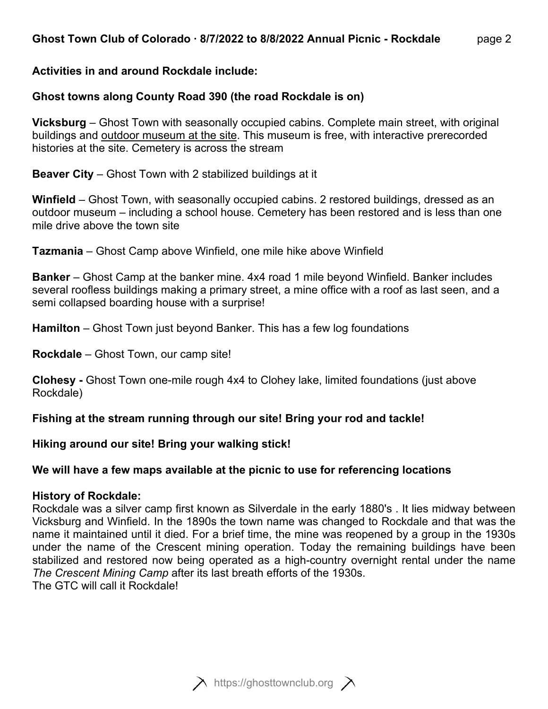## **Activities in and around Rockdale include:**

## **Ghost towns along County Road 390 (the road Rockdale is on)**

**Vicksburg** – Ghost Town with seasonally occupied cabins. Complete main street, with original buildings and outdoor museum at the site. This museum is free, with interactive prerecorded histories at the site. Cemetery is across the stream

**Beaver City** – Ghost Town with 2 stabilized buildings at it

**Winfield** – Ghost Town, with seasonally occupied cabins. 2 restored buildings, dressed as an outdoor museum – including a school house. Cemetery has been restored and is less than one mile drive above the town site

**Tazmania** – Ghost Camp above Winfield, one mile hike above Winfield

**Banker** – Ghost Camp at the banker mine. 4x4 road 1 mile beyond Winfield. Banker includes several roofless buildings making a primary street, a mine office with a roof as last seen, and a semi collapsed boarding house with a surprise!

**Hamilton** – Ghost Town just beyond Banker. This has a few log foundations

**Rockdale** – Ghost Town, our camp site!

**Clohesy -** Ghost Town one-mile rough 4x4 to Clohey lake, limited foundations (just above Rockdale)

**Fishing at the stream running through our site! Bring your rod and tackle!** 

### **Hiking around our site! Bring your walking stick!**

### **We will have a few maps available at the picnic to use for referencing locations**

#### **History of Rockdale:**

Rockdale was a silver camp first known as Silverdale in the early 1880's . It lies midway between Vicksburg and Winfield. In the 1890s the town name was changed to Rockdale and that was the name it maintained until it died. For a brief time, the mine was reopened by a group in the 1930s under the name of the Crescent mining operation. Today the remaining buildings have been stabilized and restored now being operated as a high-country overnight rental under the name *The Crescent Mining Camp* after its last breath efforts of the 1930s. The GTC will call it Rockdale!